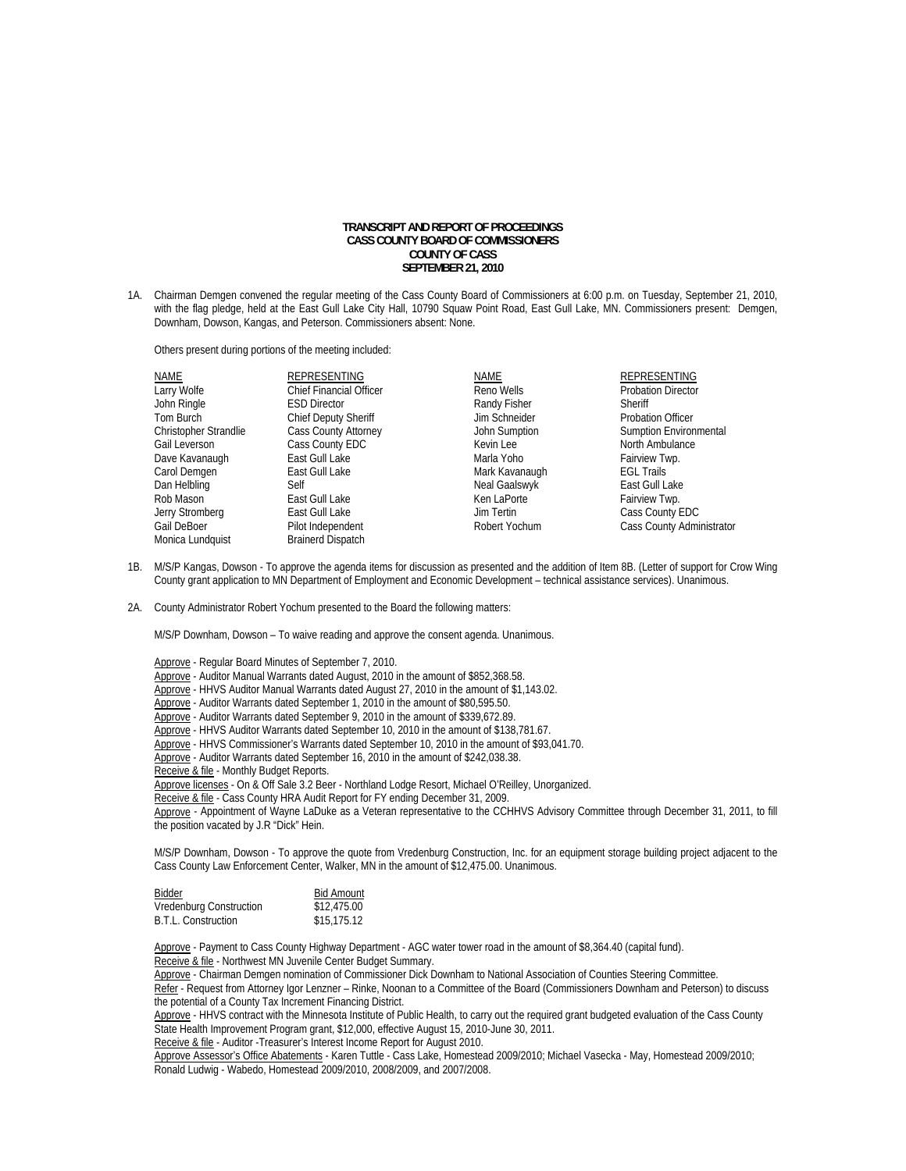## **TRANSCRIPT AND REPORT OF PROCEEDINGS CASS COUNTY BOARD OF COMMISSIONERS COUNTY OF CASS SEPTEMBER 21, 2010**

1A. Chairman Demgen convened the regular meeting of the Cass County Board of Commissioners at 6:00 p.m. on Tuesday, September 21, 2010, with the flag pledge, held at the East Gull Lake City Hall, 10790 Squaw Point Road, East Gull Lake, MN. Commissioners present: Demgen, Downham, Dowson, Kangas, and Peterson. Commissioners absent: None.

Others present during portions of the meeting included:

| <b>NAME</b>                  | REPRESENTING                   | NAME           | REPRESENTING                  |
|------------------------------|--------------------------------|----------------|-------------------------------|
| Larry Wolfe                  | <b>Chief Financial Officer</b> | Reno Wells     | <b>Probation Director</b>     |
| John Ringle                  | <b>ESD Director</b>            | Randy Fisher   | Sheriff                       |
| Tom Burch                    | <b>Chief Deputy Sheriff</b>    | Jim Schneider  | <b>Probation Officer</b>      |
| <b>Christopher Strandlie</b> | Cass County Attorney           | John Sumption  | <b>Sumption Environmental</b> |
| Gail Leverson                | Cass County EDC                | Kevin Lee      | North Ambulance               |
| Dave Kavanaugh               | East Gull Lake                 | Marla Yoho     | Fairview Twp.                 |
| Carol Demgen                 | East Gull Lake                 | Mark Kavanaugh | <b>EGL Trails</b>             |
| Dan Helbling                 | Self                           | Neal Gaalswyk  | East Gull Lake                |
| Rob Mason                    | East Gull Lake                 | Ken LaPorte    | Fairview Twp.                 |
| Jerry Stromberg              | East Gull Lake                 | Jim Tertin     | Cass County EDC               |
| Gail DeBoer                  | Pilot Independent              | Robert Yochum  | Cass County Administrator     |
| Monica Lundquist             | <b>Brainerd Dispatch</b>       |                |                               |

- 1B. M/S/P Kangas, Dowson To approve the agenda items for discussion as presented and the addition of Item 8B. (Letter of support for Crow Wing County grant application to MN Department of Employment and Economic Development – technical assistance services). Unanimous.
- 2A. County Administrator Robert Yochum presented to the Board the following matters:

M/S/P Downham, Dowson – To waive reading and approve the consent agenda. Unanimous.

 Approve - Regular Board Minutes of September 7, 2010. Approve - Auditor Manual Warrants dated August, 2010 in the amount of \$852,368.58. Approve - HHVS Auditor Manual Warrants dated August 27, 2010 in the amount of \$1,143.02. Approve - Auditor Warrants dated September 1, 2010 in the amount of \$80,595.50. Approve - Auditor Warrants dated September 9, 2010 in the amount of \$339,672.89. Approve - HHVS Auditor Warrants dated September 10, 2010 in the amount of \$138,781.67. Approve - HHVS Commissioner's Warrants dated September 10, 2010 in the amount of \$93,041.70. Approve - Auditor Warrants dated September 16, 2010 in the amount of \$242,038.38. Receive & file - Monthly Budget Reports. Approve licenses - On & Off Sale 3.2 Beer - Northland Lodge Resort, Michael O'Reilley, Unorganized.

Receive & file - Cass County HRA Audit Report for FY ending December 31, 2009.

Approve - Appointment of Wayne LaDuke as a Veteran representative to the CCHHVS Advisory Committee through December 31, 2011, to fill the position vacated by J.R "Dick" Hein.

M/S/P Downham, Dowson - To approve the quote from Vredenburg Construction, Inc. for an equipment storage building project adjacent to the Cass County Law Enforcement Center, Walker, MN in the amount of \$12,475.00. Unanimous.

| Bidder                  | <b>Bid Amount</b> |
|-------------------------|-------------------|
| Vredenburg Construction | \$12,475.00       |
| B.T.L. Construction     | \$15,175.12       |

 Approve - Payment to Cass County Highway Department - AGC water tower road in the amount of \$8,364.40 (capital fund). Receive & file - Northwest MN Juvenile Center Budget Summary.

 Approve - Chairman Demgen nomination of Commissioner Dick Downham to National Association of Counties Steering Committee. Refer - Request from Attorney Igor Lenzner – Rinke, Noonan to a Committee of the Board (Commissioners Downham and Peterson) to discuss the potential of a County Tax Increment Financing District.

 Approve - HHVS contract with the Minnesota Institute of Public Health, to carry out the required grant budgeted evaluation of the Cass County State Health Improvement Program grant, \$12,000, effective August 15, 2010-June 30, 2011.

Receive & file - Auditor -Treasurer's Interest Income Report for August 2010.

Approve Assessor's Office Abatements - Karen Tuttle - Cass Lake, Homestead 2009/2010; Michael Vasecka - May, Homestead 2009/2010; Ronald Ludwig - Wabedo, Homestead 2009/2010, 2008/2009, and 2007/2008.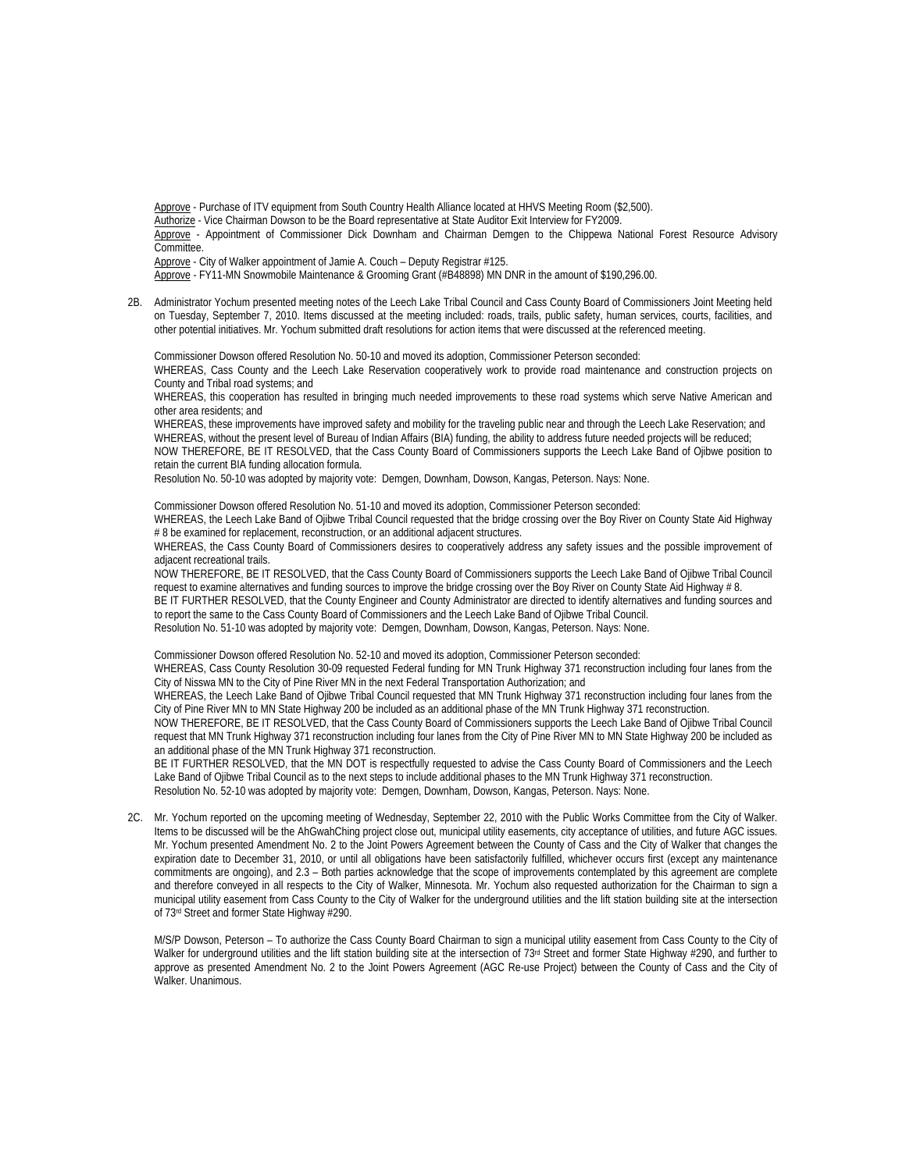Approve - Purchase of ITV equipment from South Country Health Alliance located at HHVS Meeting Room (\$2,500).

Authorize - Vice Chairman Dowson to be the Board representative at State Auditor Exit Interview for FY2009.

Approve - Appointment of Commissioner Dick Downham and Chairman Demgen to the Chippewa National Forest Resource Advisory Committee.

Approve - City of Walker appointment of Jamie A. Couch - Deputy Registrar #125.

Approve - FY11-MN Snowmobile Maintenance & Grooming Grant (#B48898) MN DNR in the amount of \$190,296.00.

2B. Administrator Yochum presented meeting notes of the Leech Lake Tribal Council and Cass County Board of Commissioners Joint Meeting held on Tuesday, September 7, 2010. Items discussed at the meeting included: roads, trails, public safety, human services, courts, facilities, and other potential initiatives. Mr. Yochum submitted draft resolutions for action items that were discussed at the referenced meeting.

Commissioner Dowson offered Resolution No. 50-10 and moved its adoption, Commissioner Peterson seconded: WHEREAS, Cass County and the Leech Lake Reservation cooperatively work to provide road maintenance and construction projects on County and Tribal road systems; and

WHEREAS, this cooperation has resulted in bringing much needed improvements to these road systems which serve Native American and other area residents; and

WHEREAS, these improvements have improved safety and mobility for the traveling public near and through the Leech Lake Reservation; and WHEREAS, without the present level of Bureau of Indian Affairs (BIA) funding, the ability to address future needed projects will be reduced; NOW THEREFORE, BE IT RESOLVED, that the Cass County Board of Commissioners supports the Leech Lake Band of Ojibwe position to retain the current BIA funding allocation formula.

Resolution No. 50-10 was adopted by majority vote: Demgen, Downham, Dowson, Kangas, Peterson. Nays: None.

Commissioner Dowson offered Resolution No. 51-10 and moved its adoption, Commissioner Peterson seconded: WHEREAS, the Leech Lake Band of Ojibwe Tribal Council requested that the bridge crossing over the Boy River on County State Aid Highway # 8 be examined for replacement, reconstruction, or an additional adjacent structures.

WHEREAS, the Cass County Board of Commissioners desires to cooperatively address any safety issues and the possible improvement of adjacent recreational trails.

NOW THEREFORE, BE IT RESOLVED, that the Cass County Board of Commissioners supports the Leech Lake Band of Ojibwe Tribal Council request to examine alternatives and funding sources to improve the bridge crossing over the Boy River on County State Aid Highway # 8.

BE IT FURTHER RESOLVED, that the County Engineer and County Administrator are directed to identify alternatives and funding sources and to report the same to the Cass County Board of Commissioners and the Leech Lake Band of Ojibwe Tribal Council.

Resolution No. 51-10 was adopted by majority vote: Demgen, Downham, Dowson, Kangas, Peterson. Nays: None.

Commissioner Dowson offered Resolution No. 52-10 and moved its adoption, Commissioner Peterson seconded:

WHEREAS, Cass County Resolution 30-09 requested Federal funding for MN Trunk Highway 371 reconstruction including four lanes from the City of Nisswa MN to the City of Pine River MN in the next Federal Transportation Authorization; and

WHEREAS, the Leech Lake Band of Ojibwe Tribal Council requested that MN Trunk Highway 371 reconstruction including four lanes from the City of Pine River MN to MN State Highway 200 be included as an additional phase of the MN Trunk Highway 371 reconstruction.

NOW THEREFORE, BE IT RESOLVED, that the Cass County Board of Commissioners supports the Leech Lake Band of Ojibwe Tribal Council request that MN Trunk Highway 371 reconstruction including four lanes from the City of Pine River MN to MN State Highway 200 be included as an additional phase of the MN Trunk Highway 371 reconstruction.

BE IT FURTHER RESOLVED, that the MN DOT is respectfully requested to advise the Cass County Board of Commissioners and the Leech Lake Band of Ojibwe Tribal Council as to the next steps to include additional phases to the MN Trunk Highway 371 reconstruction. Resolution No. 52-10 was adopted by majority vote: Demgen, Downham, Dowson, Kangas, Peterson. Nays: None.

2C. Mr. Yochum reported on the upcoming meeting of Wednesday, September 22, 2010 with the Public Works Committee from the City of Walker. Items to be discussed will be the AhGwahChing project close out, municipal utility easements, city acceptance of utilities, and future AGC issues. Mr. Yochum presented Amendment No. 2 to the Joint Powers Agreement between the County of Cass and the City of Walker that changes the expiration date to December 31, 2010, or until all obligations have been satisfactorily fulfilled, whichever occurs first (except any maintenance commitments are ongoing), and 2.3 – Both parties acknowledge that the scope of improvements contemplated by this agreement are complete and therefore conveyed in all respects to the City of Walker, Minnesota. Mr. Yochum also requested authorization for the Chairman to sign a municipal utility easement from Cass County to the City of Walker for the underground utilities and the lift station building site at the intersection of 73rd Street and former State Highway #290.

 M/S/P Dowson, Peterson – To authorize the Cass County Board Chairman to sign a municipal utility easement from Cass County to the City of Walker for underground utilities and the lift station building site at the intersection of 73rd Street and former State Highway #290, and further to approve as presented Amendment No. 2 to the Joint Powers Agreement (AGC Re-use Project) between the County of Cass and the City of Walker. Unanimous.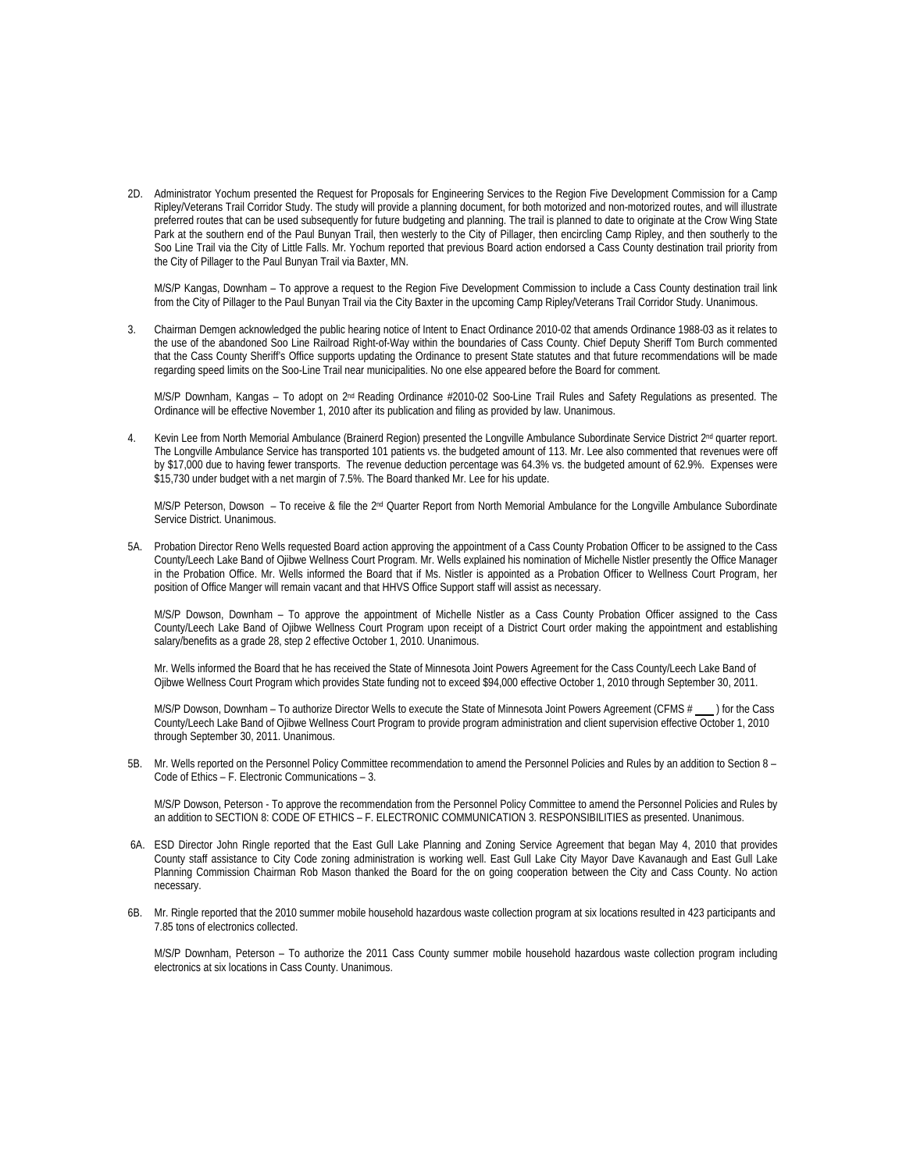2D. Administrator Yochum presented the Request for Proposals for Engineering Services to the Region Five Development Commission for a Camp Ripley/Veterans Trail Corridor Study. The study will provide a planning document, for both motorized and non-motorized routes, and will illustrate preferred routes that can be used subsequently for future budgeting and planning. The trail is planned to date to originate at the Crow Wing State Park at the southern end of the Paul Bunyan Trail, then westerly to the City of Pillager, then encircling Camp Ripley, and then southerly to the Soo Line Trail via the City of Little Falls. Mr. Yochum reported that previous Board action endorsed a Cass County destination trail priority from the City of Pillager to the Paul Bunyan Trail via Baxter, MN.

M/S/P Kangas, Downham – To approve a request to the Region Five Development Commission to include a Cass County destination trail link from the City of Pillager to the Paul Bunyan Trail via the City Baxter in the upcoming Camp Ripley/Veterans Trail Corridor Study. Unanimous.

3. Chairman Demgen acknowledged the public hearing notice of Intent to Enact Ordinance 2010-02 that amends Ordinance 1988-03 as it relates to the use of the abandoned Soo Line Railroad Right-of-Way within the boundaries of Cass County. Chief Deputy Sheriff Tom Burch commented that the Cass County Sheriff's Office supports updating the Ordinance to present State statutes and that future recommendations will be made regarding speed limits on the Soo-Line Trail near municipalities. No one else appeared before the Board for comment.

M/S/P Downham, Kangas - To adopt on 2<sup>nd</sup> Reading Ordinance #2010-02 Soo-Line Trail Rules and Safety Regulations as presented. The Ordinance will be effective November 1, 2010 after its publication and filing as provided by law. Unanimous.

4. Kevin Lee from North Memorial Ambulance (Brainerd Region) presented the Longville Ambulance Subordinate Service District 2<sup>nd</sup> quarter report. The Longville Ambulance Service has transported 101 patients vs. the budgeted amount of 113. Mr. Lee also commented that revenues were off by \$17,000 due to having fewer transports. The revenue deduction percentage was 64.3% vs. the budgeted amount of 62.9%. Expenses were \$15,730 under budget with a net margin of 7.5%. The Board thanked Mr. Lee for his update.

M/S/P Peterson, Dowson - To receive & file the 2<sup>nd</sup> Quarter Report from North Memorial Ambulance for the Longville Ambulance Subordinate Service District. Unanimous.

5A. Probation Director Reno Wells requested Board action approving the appointment of a Cass County Probation Officer to be assigned to the Cass County/Leech Lake Band of Ojibwe Wellness Court Program. Mr. Wells explained his nomination of Michelle Nistler presently the Office Manager in the Probation Office. Mr. Wells informed the Board that if Ms. Nistler is appointed as a Probation Officer to Wellness Court Program, her position of Office Manger will remain vacant and that HHVS Office Support staff will assist as necessary.

M/S/P Dowson, Downham – To approve the appointment of Michelle Nistler as a Cass County Probation Officer assigned to the Cass County/Leech Lake Band of Ojibwe Wellness Court Program upon receipt of a District Court order making the appointment and establishing salary/benefits as a grade 28, step 2 effective October 1, 2010. Unanimous.

Mr. Wells informed the Board that he has received the State of Minnesota Joint Powers Agreement for the Cass County/Leech Lake Band of Ojibwe Wellness Court Program which provides State funding not to exceed \$94,000 effective October 1, 2010 through September 30, 2011.

M/S/P Dowson, Downham – To authorize Director Wells to execute the State of Minnesota Joint Powers Agreement (CFMS # ) for the Cass County/Leech Lake Band of Ojibwe Wellness Court Program to provide program administration and client supervision effective October 1, 2010 through September 30, 2011. Unanimous.

5B. Mr. Wells reported on the Personnel Policy Committee recommendation to amend the Personnel Policies and Rules by an addition to Section 8 – Code of Ethics – F. Electronic Communications – 3.

M/S/P Dowson, Peterson - To approve the recommendation from the Personnel Policy Committee to amend the Personnel Policies and Rules by an addition to SECTION 8: CODE OF ETHICS – F. ELECTRONIC COMMUNICATION 3. RESPONSIBILITIES as presented. Unanimous.

- 6A. ESD Director John Ringle reported that the East Gull Lake Planning and Zoning Service Agreement that began May 4, 2010 that provides County staff assistance to City Code zoning administration is working well. East Gull Lake City Mayor Dave Kavanaugh and East Gull Lake Planning Commission Chairman Rob Mason thanked the Board for the on going cooperation between the City and Cass County. No action necessary.
- 6B. Mr. Ringle reported that the 2010 summer mobile household hazardous waste collection program at six locations resulted in 423 participants and 7.85 tons of electronics collected.

M/S/P Downham, Peterson – To authorize the 2011 Cass County summer mobile household hazardous waste collection program including electronics at six locations in Cass County. Unanimous.